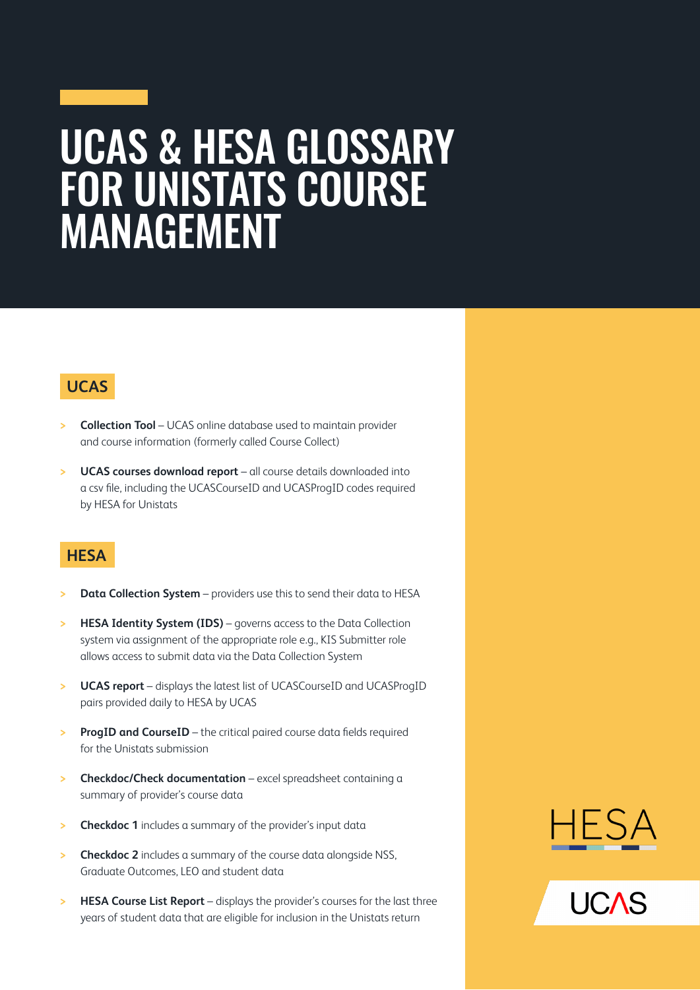## UCAS & HESA GLOSSARY FOR UNISTATS COURSE MANAGEMENT

### **UCAS**

- **> Collection Tool** UCAS online database used to maintain provider and course information (formerly called Course Collect)
- **> UCAS courses download report** all course details downloaded into a csv file, including the UCASCourseID and UCASProgID codes required by HESA for Unistats

### **HESA**

- **Data Collection System** providers use this to send their data to HESA
- **HESA Identity System (IDS)** governs access to the Data Collection system via assignment of the appropriate role e.g., KIS Submitter role allows access to submit data via the Data Collection System
- **> UCAS report** displays the latest list of UCASCourseID and UCASProgID pairs provided daily to HESA by UCAS
- **> ProgID and CourseID** the critical paired course data fields required for the Unistats submission
- **> Checkdoc/Check documentation** excel spreadsheet containing a summary of provider's course data
- **Checkdoc 1** includes a summary of the provider's input data
- **> Checkdoc 2** includes a summary of the course data alongside NSS, Graduate Outcomes, LEO and student data
- **> HESA Course List Report** displays the provider's courses for the last three years of student data that are eligible for inclusion in the Unistats return